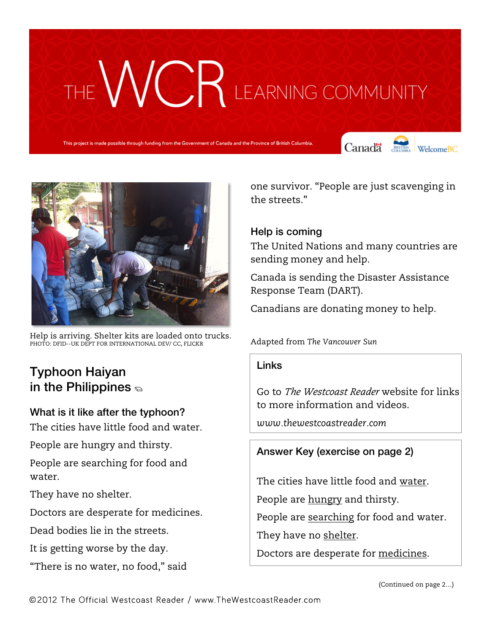# THE WCR LEARNING COMMUNITY

project is made possible through funding from the Government of Canada and the Province of British Columbia.

Canada **Strategy** Welcome BC





Help is arriving. Shelter kits are loaded onto trucks. PHOTO: DFID--UK DEPT FOR INTERNATIONAL DEV/ CC, FLICKR

### Typhoon Haiyan in the Philippines  $\epsilon$

## What is it like after the typhoon?

The cities have little food and water.

People are hungry and thirsty.

People are searching for food and water.

They have no shelter.

Doctors are desperate for medicines.

Dead bodies lie in the streets.

It is getting worse by the day.

"There is no water, no food," said

one survivor. "People are just scavenging in the streets."

#### Help is coming

The United Nations and many countries are sending money and help.

Canada is sending the Disaster Assistance Response Team (DART).

Canadians are donating money to help.

Adapted from *The Vancouver Sun*

#### Links

Go to *The Westcoast Reader* website for links to more information and videos.

*www.thewestcoastreader.com*

#### Answer Key (exercise on page 2)

The cities have little food and water. People are hungry and thirsty. People are searching for food and water.

They have no shelter.

Doctors are desperate for medicines.